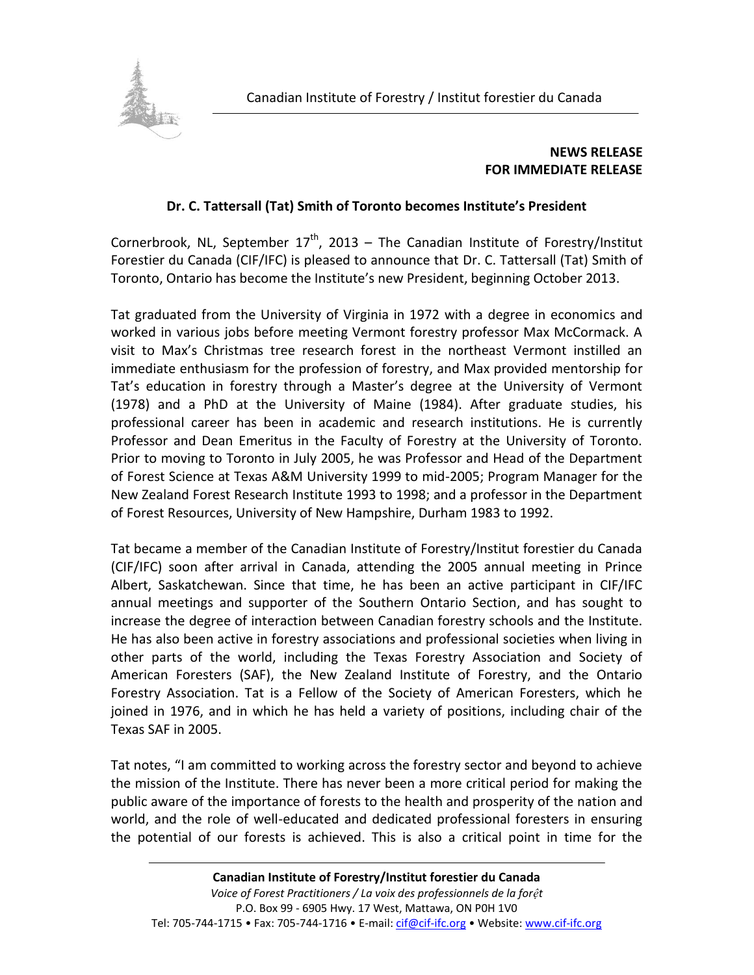

## **NEWS RELEASE FOR IMMEDIATE RELEASE**

## **Dr. C. Tattersall (Tat) Smith of Toronto becomes Institute's President**

Cornerbrook, NL, September  $17<sup>th</sup>$ , 2013 – The Canadian Institute of Forestry/Institut Forestier du Canada (CIF/IFC) is pleased to announce that Dr. C. Tattersall (Tat) Smith of Toronto, Ontario has become the Institute's new President, beginning October 2013.

Tat graduated from the University of Virginia in 1972 with a degree in economics and worked in various jobs before meeting Vermont forestry professor Max McCormack. A visit to Max's Christmas tree research forest in the northeast Vermont instilled an immediate enthusiasm for the profession of forestry, and Max provided mentorship for Tat's education in forestry through a Master's degree at the University of Vermont (1978) and a PhD at the University of Maine (1984). After graduate studies, his professional career has been in academic and research institutions. He is currently Professor and Dean Emeritus in the Faculty of Forestry at the University of Toronto. Prior to moving to Toronto in July 2005, he was Professor and Head of the Department of Forest Science at Texas A&M University 1999 to mid-2005; Program Manager for the New Zealand Forest Research Institute 1993 to 1998; and a professor in the Department of Forest Resources, University of New Hampshire, Durham 1983 to 1992.

Tat became a member of the Canadian Institute of Forestry/Institut forestier du Canada (CIF/IFC) soon after arrival in Canada, attending the 2005 annual meeting in Prince Albert, Saskatchewan. Since that time, he has been an active participant in CIF/IFC annual meetings and supporter of the Southern Ontario Section, and has sought to increase the degree of interaction between Canadian forestry schools and the Institute. He has also been active in forestry associations and professional societies when living in other parts of the world, including the Texas Forestry Association and Society of American Foresters (SAF), the New Zealand Institute of Forestry, and the Ontario Forestry Association. Tat is a Fellow of the Society of American Foresters, which he joined in 1976, and in which he has held a variety of positions, including chair of the Texas SAF in 2005.

Tat notes, "I am committed to working across the forestry sector and beyond to achieve the mission of the Institute. There has never been a more critical period for making the public aware of the importance of forests to the health and prosperity of the nation and world, and the role of well-educated and dedicated professional foresters in ensuring the potential of our forests is achieved. This is also a critical point in time for the